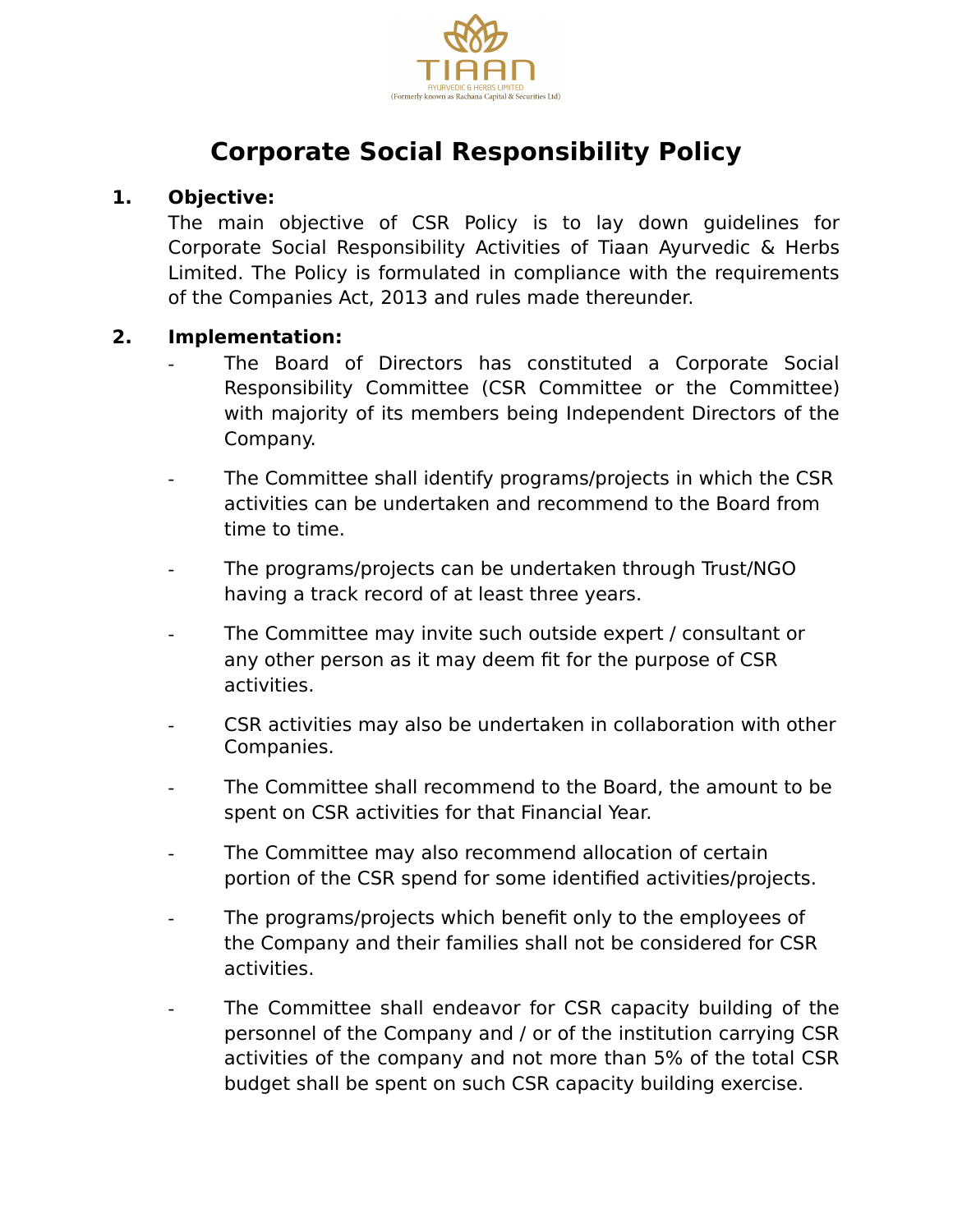

# **Corporate Social Responsibility Policy**

### **1. Objective:**

The main objective of CSR Policy is to lay down guidelines for Corporate Social Responsibility Activities of Tiaan Ayurvedic & Herbs Limited. The Policy is formulated in compliance with the requirements of the Companies Act, 2013 and rules made thereunder.

#### **2. Implementation:**

- The Board of Directors has constituted a Corporate Social Responsibility Committee (CSR Committee or the Committee) with majority of its members being Independent Directors of the Company.
- The Committee shall identify programs/projects in which the CSR activities can be undertaken and recommend to the Board from time to time.
- The programs/projects can be undertaken through Trust/NGO having a track record of at least three years.
- The Committee may invite such outside expert / consultant or any other person as it may deem fit for the purpose of CSR activities.
- CSR activities may also be undertaken in collaboration with other Companies.
- The Committee shall recommend to the Board, the amount to be spent on CSR activities for that Financial Year.
- The Committee may also recommend allocation of certain portion of the CSR spend for some identified activities/projects.
- The programs/projects which benefit only to the employees of the Company and their families shall not be considered for CSR activities.
- The Committee shall endeavor for CSR capacity building of the personnel of the Company and / or of the institution carrying CSR activities of the company and not more than 5% of the total CSR budget shall be spent on such CSR capacity building exercise.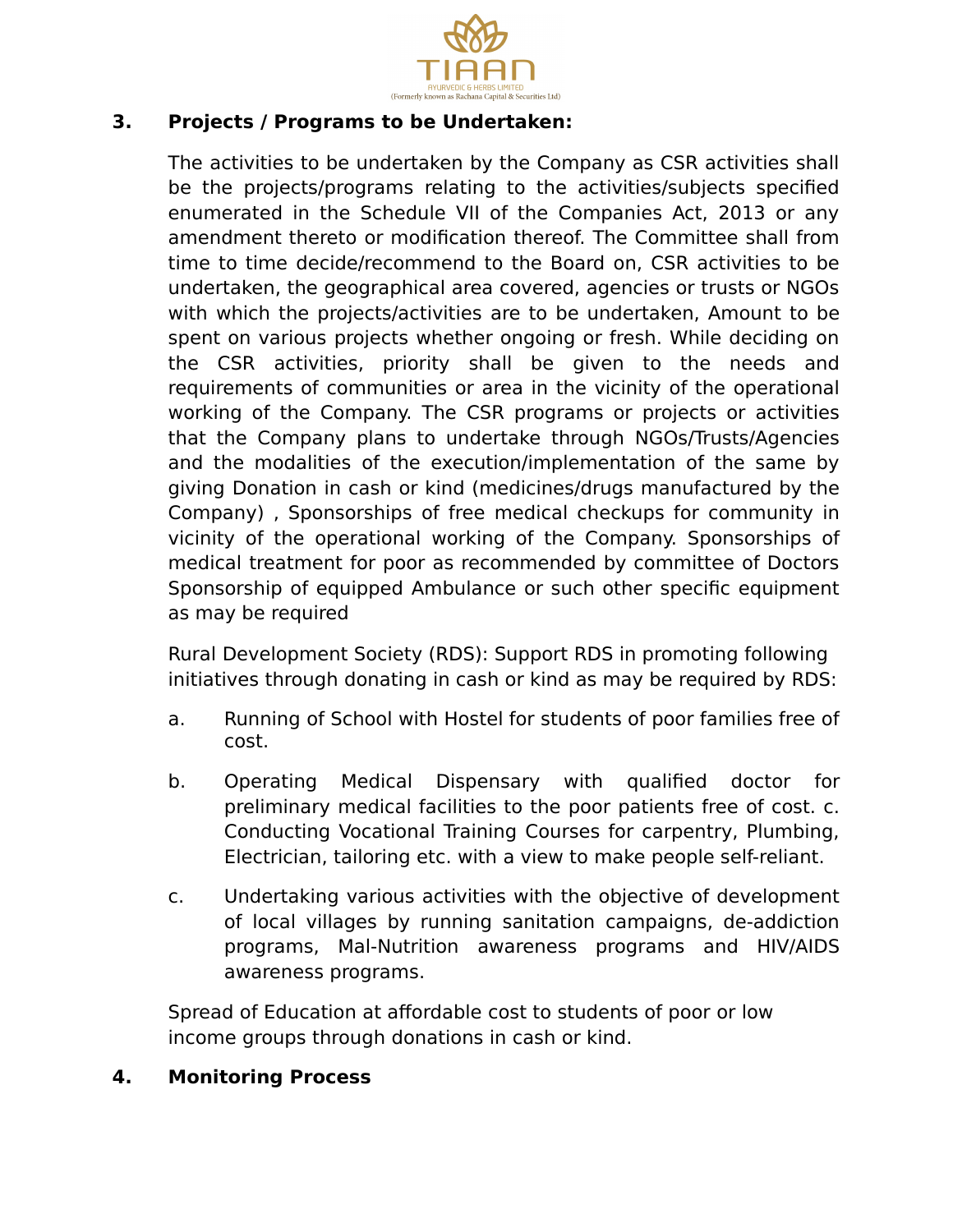

# **3. Projects / Programs to be Undertaken:**

The activities to be undertaken by the Company as CSR activities shall be the projects/programs relating to the activities/subjects specified enumerated in the Schedule VII of the Companies Act, 2013 or any amendment thereto or modification thereof. The Committee shall from time to time decide/recommend to the Board on, CSR activities to be undertaken, the geographical area covered, agencies or trusts or NGOs with which the projects/activities are to be undertaken, Amount to be spent on various projects whether ongoing or fresh. While deciding on the CSR activities, priority shall be given to the needs and requirements of communities or area in the vicinity of the operational working of the Company. The CSR programs or projects or activities that the Company plans to undertake through NGOs/Trusts/Agencies and the modalities of the execution/implementation of the same by giving Donation in cash or kind (medicines/drugs manufactured by the Company) , Sponsorships of free medical checkups for community in vicinity of the operational working of the Company. Sponsorships of medical treatment for poor as recommended by committee of Doctors Sponsorship of equipped Ambulance or such other specific equipment as may be required

Rural Development Society (RDS): Support RDS in promoting following initiatives through donating in cash or kind as may be required by RDS:

- a. Running of School with Hostel for students of poor families free of cost.
- b. Operating Medical Dispensary with qualified doctor for preliminary medical facilities to the poor patients free of cost. c. Conducting Vocational Training Courses for carpentry, Plumbing, Electrician, tailoring etc. with a view to make people self-reliant.
- c. Undertaking various activities with the objective of development of local villages by running sanitation campaigns, de-addiction programs, Mal-Nutrition awareness programs and HIV/AIDS awareness programs.

Spread of Education at affordable cost to students of poor or low income groups through donations in cash or kind.

# **4. Monitoring Process**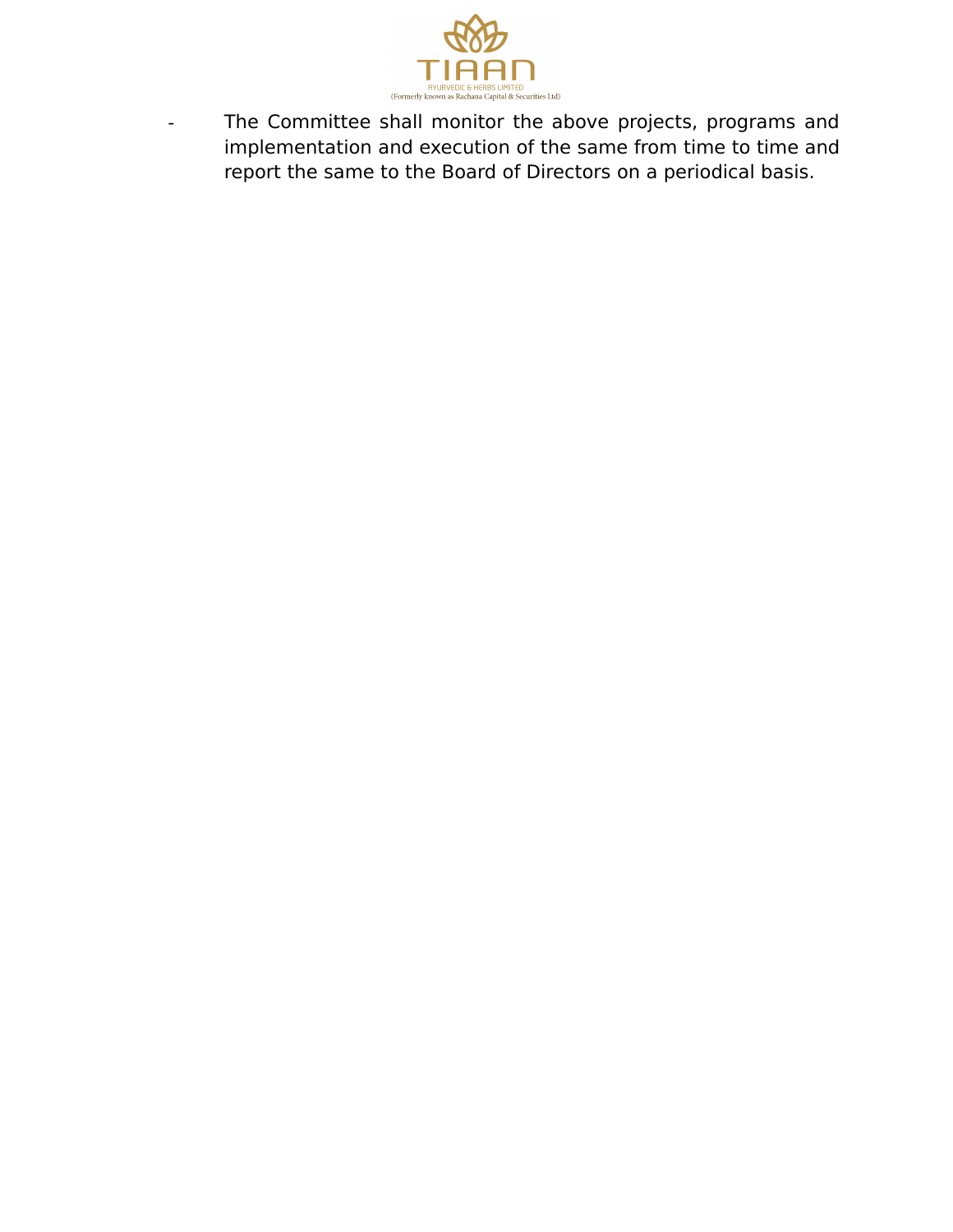

- The Committee shall monitor the above projects, programs and implementation and execution of the same from time to time and report the same to the Board of Directors on a periodical basis.